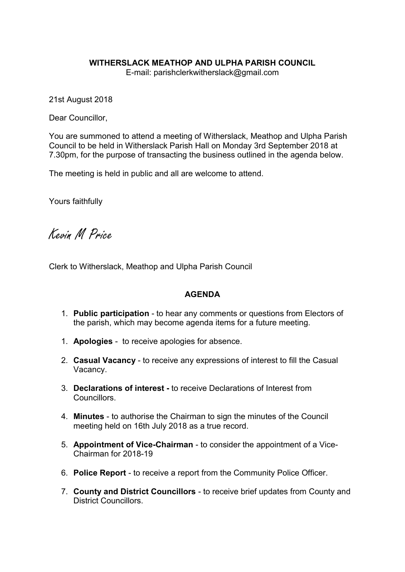## WITHERSLACK MEATHOP AND ULPHA PARISH COUNCIL

E-mail: parishclerkwitherslack@gmail.com

21st August 2018

Dear Councillor,

You are summoned to attend a meeting of Witherslack, Meathop and Ulpha Parish Council to be held in Witherslack Parish Hall on Monday 3rd September 2018 at 7.30pm, for the purpose of transacting the business outlined in the agenda below.

The meeting is held in public and all are welcome to attend.

Yours faithfully

Kevin M Price

Clerk to Witherslack, Meathop and Ulpha Parish Council

## AGENDA

- 1. Public participation to hear any comments or questions from Electors of the parish, which may become agenda items for a future meeting.
- 1. Apologies to receive apologies for absence.
- 2. Casual Vacancy to receive any expressions of interest to fill the Casual Vacancy.
- 3. Declarations of interest to receive Declarations of Interest from Councillors.
- 4. Minutes to authorise the Chairman to sign the minutes of the Council meeting held on 16th July 2018 as a true record.
- 5. Appointment of Vice-Chairman to consider the appointment of a Vice-Chairman for 2018-19
- 6. Police Report to receive a report from the Community Police Officer.
- 7. County and District Councillors to receive brief updates from County and District Councillors.